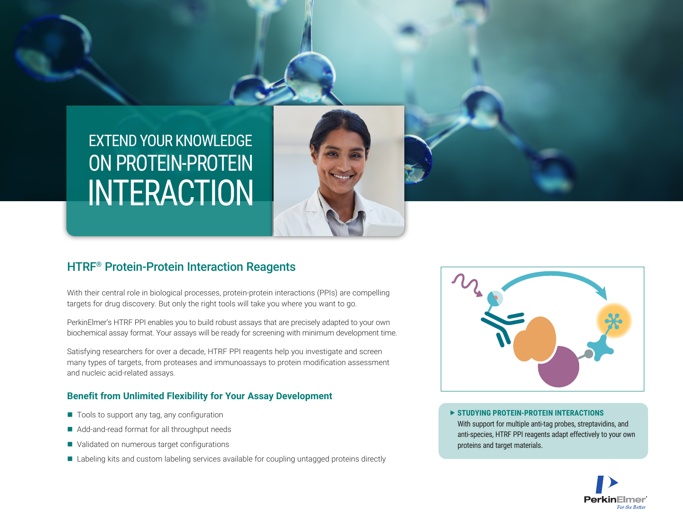# EXTEND YOUR KNOWLEDGE INTERACTION ON PROTEIN-PROTEIN

# HTRF® Protein-Protein Interaction Reagents

With their central role in biological processes, protein-protein interactions (PPIs) are compelling targets for drug discovery. But only the right tools will take you where you want to go.

PerkinElmer's HTRF PPI enables you to build robust assays that are precisely adapted to your own biochemical assay format. Your assays will be ready for screening with minimum development time.

Satisfying researchers for over a decade, HTRF PPI reagents help you investigate and screen many types of targets, from proteases and immunoassays to protein modification assessment and nucleic acid-related assays.

#### **Benefit from Unlimited Flexibility for Your Assay Development**

- $\blacksquare$  Tools to support any tag, any configuration
- Add-and-read format for all throughput needs
- Validated on numerous target configurations
- Labeling kits and custom labeling services available for coupling untagged proteins directly



 **STUDYING PROTEIN-PROTEIN INTERACTIONS** With support for multiple anti-tag probes, streptavidins, and anti-species, HTRF PPI reagents adapt effectively to your own proteins and target materials.